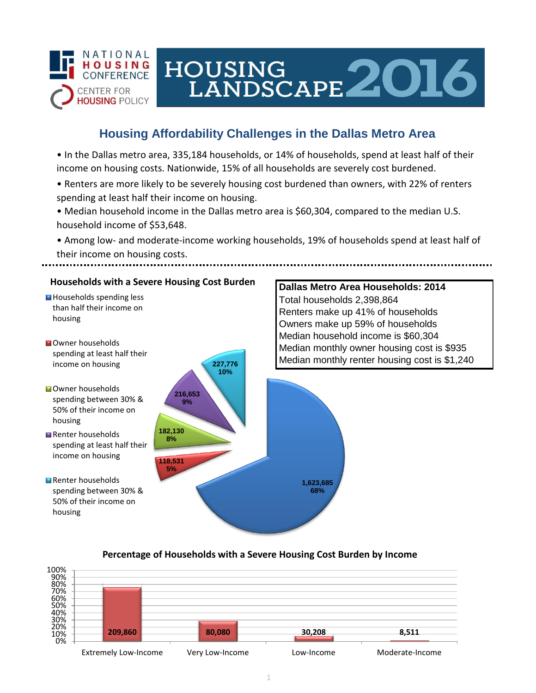

# HOUSING LANDSCAPE 2016

## **Housing Affordability Challenges in the Dallas Metro Area**

• In the Dallas metro area, 335,184 households, or 14% of households, spend at least half of their income on housing costs. Nationwide, 15% of all households are severely cost burdened.

- Renters are more likely to be severely housing cost burdened than owners, with 22% of renters spending at least half their income on housing.
- Median household income in the Dallas metro area is \$60,304, compared to the median U.S. household income of \$53,648.
- Among low- and moderate-income working households, 19% of households spend at least half of their income on housing costs.



### **Percentage of Households with a Severe Housing Cost Burden by Income**